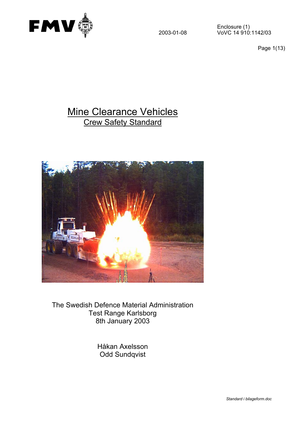

Page 1(13)

# Mine Clearance Vehicles Crew Safety Standard



The Swedish Defence Material Administration Test Range Karlsborg 8th January 2003

> Håkan Axelsson Odd Sundqvist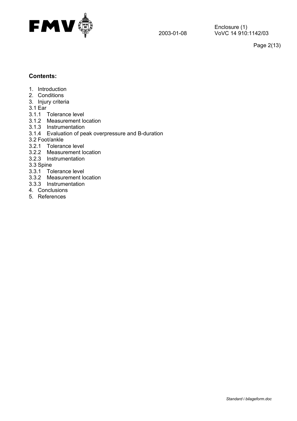

Page 2(13)

## **Contents:**

- 1. Introduction
- 2. Conditions
- 3. Injury criteria
- 3.1 Ear
- 3.1.1 Tolerance level
- 3.1.2 Measurement location
- 3.1.3 Instrumentation
- 3.1.4 Evaluation of peak overpressure and B-duration
- 3.2 Foot/ankle
- 3.2.1 Tolerance level
- 3.2.2 Measurement location
- 3.2.3 Instrumentation
- 3.3 Spine
- 3.3.1 Tolerance level
- 3.3.2 Measurement location
- 3.3.3 Instrumentation
- 4. Conclusions
- 5. References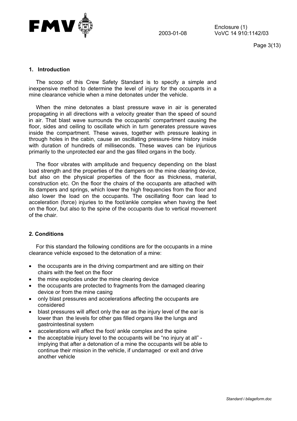

Page 3(13)

## **1. Introduction**

The scoop of this Crew Safety Standard is to specify a simple and inexpensive method to determine the level of injury for the occupants in a mine clearance vehicle when a mine detonates under the vehicle.

When the mine detonates a blast pressure wave in air is generated propagating in all directions with a velocity greater than the speed of sound in air. That blast wave surrounds the occupants' compartment causing the floor, sides and ceiling to oscillate which in turn generates pressure waves inside the compartment. These waves, together with pressure leaking in through holes in the cabin, cause an oscillating pressure-time history inside with duration of hundreds of milliseconds. These waves can be injurious primarily to the unprotected ear and the gas filled organs in the body.

The floor vibrates with amplitude and frequency depending on the blast load strength and the properties of the dampers on the mine clearing device, but also on the physical properties of the floor as thickness, material, construction etc. On the floor the chairs of the occupants are attached with its dampers and springs, which lower the high frequencies from the floor and also lower the load on the occupants. The oscillating floor can lead to acceleration (force) injuries to the foot/ankle complex when having the feet on the floor, but also to the spine of the occupants due to vertical movement of the chair.

#### **2. Conditions**

For this standard the following conditions are for the occupants in a mine clearance vehicle exposed to the detonation of a mine:

- the occupants are in the driving compartment and are sitting on their chairs with the feet on the floor
- the mine explodes under the mine clearing device
- the occupants are protected to fragments from the damaged clearing device or from the mine casing
- only blast pressures and accelerations affecting the occupants are considered
- blast pressures will affect only the ear as the injury level of the ear is lower than the levels for other gas filled organs like the lungs and gastrointestinal system
- accelerations will affect the foot/ ankle complex and the spine
- the acceptable injury level to the occupants will be "no injury at all" implying that after a detonation of a mine the occupants will be able to continue their mission in the vehicle, if undamaged or exit and drive another vehicle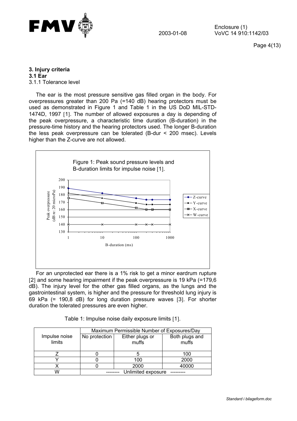

Page 4(13)

**3. Injury criteria** 

**3.1 Ear** 3.1.1 Tolerance level

The ear is the most pressure sensitive gas filled organ in the body. For overpressures greater than 200 Pa (=140 dB) hearing protectors must be used as demonstrated in Figure 1 and Table 1 in the US DoD MIL-STD-1474D, 1997 [1]. The number of allowed exposures a day is depending of the peak overpressure, a characteristic time duration (B-duration) in the pressure-time history and the hearing protectors used. The longer B-duration the less peak overpressure can be tolerated (B-dur < 200 msec). Levels higher than the Z-curve are not allowed.



For an unprotected ear there is a 1% risk to get a minor eardrum rupture [2] and some hearing impairment if the peak overpressure is 19 kPa (=179,6) dB). The injury level for the other gas filled organs, as the lungs and the gastrointestinal system, is higher and the pressure for threshold lung injury is 69 kPa (= 190,8 dB) for long duration pressure waves [3]. For shorter duration the tolerated pressures are even higher.

|  |  | Table 1: Impulse noise daily exposure limits [1]. |  |
|--|--|---------------------------------------------------|--|
|  |  |                                                   |  |

|                         | Maximum Permissible Number of Exposures/Day |                          |                         |  |
|-------------------------|---------------------------------------------|--------------------------|-------------------------|--|
| Impulse noise<br>limits | No protection                               | Either plugs or<br>muffs | Both plugs and<br>muffs |  |
|                         |                                             |                          | 100                     |  |
|                         |                                             | 100                      | 2000                    |  |
|                         |                                             | 2000                     | 40000                   |  |
| N                       | Unlimited exposure                          |                          |                         |  |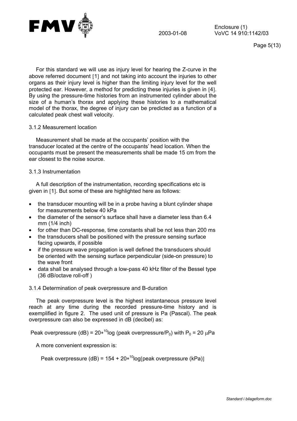

Page 5(13)

For this standard we will use as injury level for hearing the Z-curve in the above referred document [1] and not taking into account the injuries to other organs as their injury level is higher than the limiting injury level for the well protected ear. However, a method for predicting these injuries is given in [4]. By using the pressure-time histories from an instrumented cylinder about the size of a human's thorax and applying these histories to a mathematical model of the thorax, the degree of injury can be predicted as a function of a calculated peak chest wall velocity.

#### 3.1.2 Measurement location

Measurement shall be made at the occupants' position with the transducer located at the centre of the occupants' head location. When the occupants must be present the measurements shall be made 15 cm from the ear closest to the noise source.

## 3.1.3 Instrumentation

A full description of the instrumentation, recording specifications etc is given in [1]. But some of these are highlighted here as follows:

- the transducer mounting will be in a probe having a blunt cylinder shape for measurements below 40 kPa
- the diameter of the sensor's surface shall have a diameter less than 6.4 mm (1/4 inch)
- for other than DC-response, time constants shall be not less than 200 ms
- the transducers shall be positioned with the pressure sensing surface facing upwards, if possible
- if the pressure wave propagation is well defined the transducers should be oriented with the sensing surface perpendicular (side-on pressure) to the wave front
- data shall be analysed through a low-pass 40 kHz filter of the Bessel type (36 dB/octave roll-off )
- 3.1.4 Determination of peak overpressure and B-duration

The peak overpressure level is the highest instantaneous pressure level reach at any time during the recorded pressure-time history and is exemplified in figure 2. The used unit of pressure is Pa (Pascal). The peak overpressure can also be expressed in dB (decibel) as:

Peak overpressure (dB) =  $20*^{10}$ log (peak overpressure/P<sub>0</sub>) with P<sub>0</sub> = 20 µPa

A more convenient expression is:

Peak overpressure (dB) =  $154 + 20*^{10}$ log[peak overpressure (kPa)]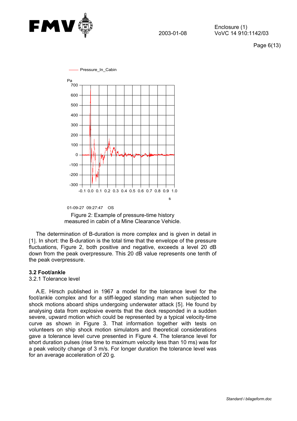

Page 6(13)





The determination of B-duration is more complex and is given in detail in [1]. In short: the B-duration is the total time that the envelope of the pressure fluctuations, Figure 2, both positive and negative, exceeds a level 20 dB down from the peak overpressure. This 20 dB value represents one tenth of the peak overpressure.

#### **3.2 Foot/ankle**

#### 3.2.1 Tolerance level

A.E. Hirsch published in 1967 a model for the tolerance level for the foot/ankle complex and for a stiff-legged standing man when subjected to shock motions aboard ships undergoing underwater attack [5]. He found by analysing data from explosive events that the deck responded in a sudden severe, upward motion which could be represented by a typical velocity-time curve as shown in Figure 3. That information together with tests on volunteers on ship shock motion simulators and theoretical considerations gave a tolerance level curve presented in Figure 4. The tolerance level for short duration pulses (rise time to maximum velocity less than 10 ms) was for a peak velocity change of 3 m/s. For longer duration the tolerance level was for an average acceleration of 20 g.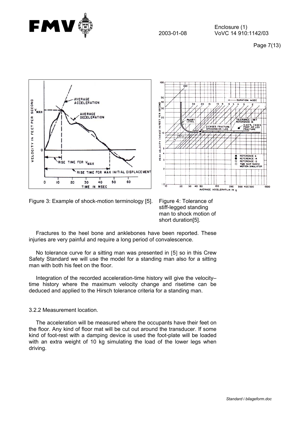





Figure 3: Example of shock-motion terminology [5]. Figure 4: Tolerance of

stiff-legged standing man to shock motion of short duration[5].

Fractures to the heel bone and anklebones have been reported. These injuries are very painful and require a long period of convalescence.

No tolerance curve for a sitting man was presented in [5] so in this Crew Safety Standard we will use the model for a standing man also for a sitting man with both his feet on the floor.

Integration of the recorded acceleration-time history will give the velocity– time history where the maximum velocity change and risetime can be deduced and applied to the Hirsch tolerance criteria for a standing man.

## 3.2.2 Measurement location.

The acceleration will be measured where the occupants have their feet on the floor. Any kind of floor mat will be cut out around the transducer. If some kind of foot-rest with a damping device is used the foot-plate will be loaded with an extra weight of 10 kg simulating the load of the lower legs when driving.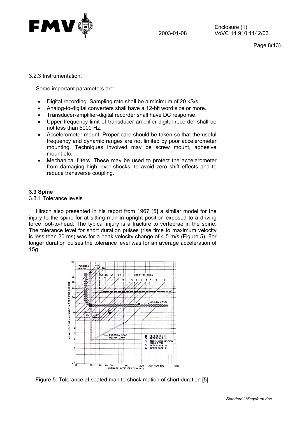

Page 8(13)

3.2.3 Instrumentation.

Some important parameters are:

- Digital recording. Sampling rate shall be a minimum of 20 kS/s.
- Analog-to-digital converters shall have a 12-bit word size or more.
- Transducer-amplifier-digital recorder shall have DC response.
- Upper frequency limit of transducer-amplifier-digital recorder shall be not less than 5000 Hz.
- Accelerometer mount. Proper care should be taken so that the useful frequency and dynamic ranges are not limited by poor accelerometer mounting. Techniques involved may be screw mount, adhesive mount etc.
- Mechanical filters. These may be used to protect the accelerometer from damaging high level shocks, to avoid zero shift effects and to reduce transverse coupling.

## **3.3 Spine**

3.3.1 Tolerance levels

Hirsch also presented in his report from 1967 [5] a similar model for the injury to the spine for at sitting man in upright position exposed to a driving force foot-to-head. The typical injury is a fracture to vertebrae in the spine. The tolerance level for short duration pulses (rise time to maximum velocity is less than 20 ms) was for a peak velocity change of 4.5 m/s (Figure 5). For longer duration pulses the tolerance level was for an average acceleration of 15g.



Figure 5: Tolerance of seated man to shock motion of short duration [5].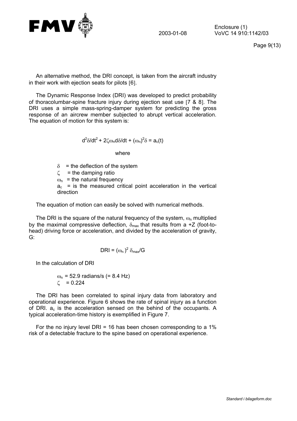

Page 9(13)

An alternative method, the DRI concept, is taken from the aircraft industry in their work with ejection seats for pilots [6].

The Dynamic Response Index (DRI) was developed to predict probability of thoracolumbar-spine fracture injury during ejection seat use [7 & 8]. The DRI uses a simple mass-spring-damper system for predicting the gross response of an aircrew member subjected to abrupt vertical acceleration. The equation of motion for this system is:

$$
d^2\delta/dt^2 + 2\zeta\omega_n d\delta/dt + (\omega_n)^2 \delta = a_c(t)
$$

where

 $\delta$  = the deflection of the system

 $\zeta$  = the damping ratio

 $\omega_{\rm n}$  = the natural frequency

 $a_c$  = is the measured critical point acceleration in the vertical direction

The equation of motion can easily be solved with numerical methods.

The DRI is the square of the natural frequency of the system,  $\omega_{n}$  multiplied by the maximal compressive deflection,  $\delta_{\text{max}}$  that results from a +Z (foot-tohead) driving force or acceleration, and divided by the acceleration of gravity, G:

$$
DRI = (\omega_n)^2 \delta_{\text{max}}/G
$$

In the calculation of DRI

 $\omega_n$  = 52.9 radians/s (= 8.4 Hz)  $\zeta = 0.224$ 

The DRI has been correlated to spinal injury data from laboratory and operational experience. Figure 6 shows the rate of spinal injury as a function of DRI.  $a_c$  is the acceleration sensed on the behind of the occupants. A typical acceleration-time history is exemplified in Figure 7.

For the no injury level DRI = 16 has been chosen corresponding to a 1% risk of a detectable fracture to the spine based on operational experience.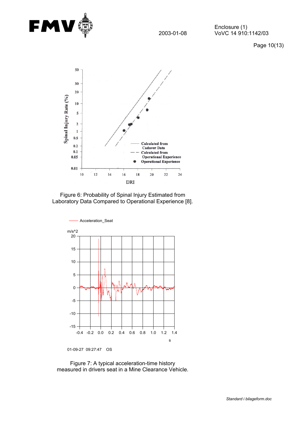

Page 10(13)



Figure 6: Probability of Spinal Injury Estimated from Laboratory Data Compared to Operational Experience [8].



<sup>01-09-27 09:27:47</sup> OS

Figure 7: A typical acceleration-time history measured in drivers seat in a Mine Clearance Vehicle.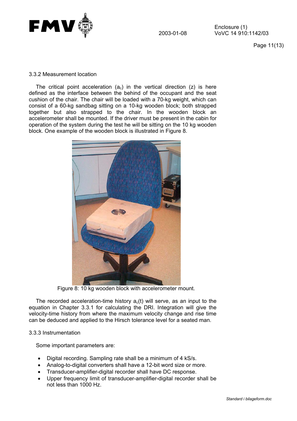

Page 11(13)

#### 3.3.2 Measurement location

The critical point acceleration  $(a_c)$  in the vertical direction (z) is here defined as the interface between the behind of the occupant and the seat cushion of the chair. The chair will be loaded with a 70-kg weight, which can consist of a 60-kg sandbag sitting on a 10-kg wooden block; both strapped together but also strapped to the chair. In the wooden block an accelerometer shall be mounted. If the driver must be present in the cabin for operation of the system during the test he will be sitting on the 10 kg wooden block. One example of the wooden block is illustrated in Figure 8.



Figure 8: 10 kg wooden block with accelerometer mount.

The recorded acceleration-time history  $a<sub>c</sub>(t)$  will serve, as an input to the equation in Chapter 3.3.1 for calculating the DRI. Integration will give the velocity-time history from where the maximum velocity change and rise time can be deduced and applied to the Hirsch tolerance level for a seated man.

#### 3.3.3 Instrumentation

Some important parameters are:

- Digital recording. Sampling rate shall be a minimum of 4 kS/s.
- Analog-to-digital converters shall have a 12-bit word size or more.
- Transducer-amplifier-digital recorder shall have DC response.
- Upper frequency limit of transducer-amplifier-digital recorder shall be not less than 1000 Hz.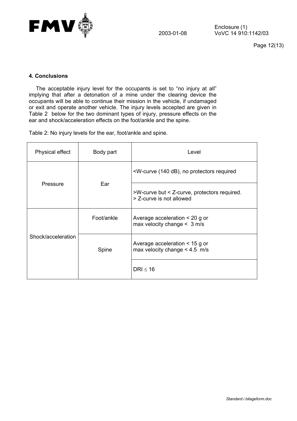

Page 12(13)

## **4. Conclusions**

The acceptable injury level for the occupants is set to "no injury at all" implying that after a detonation of a mine under the clearing device the occupants will be able to continue their mission in the vehicle, if undamaged or exit and operate another vehicle. The injury levels accepted are given in Table 2 below for the two dominant types of injury, pressure effects on the ear and shock/acceleration effects on the foot/ankle and the spine.

Table 2: No injury levels for the ear, foot/ankle and spine.

| Physical effect    | Body part  | Level                                                                      |  |
|--------------------|------------|----------------------------------------------------------------------------|--|
| Pressure           |            | <w-curve (140="" db),="" no="" protectors="" required<="" td=""></w-curve> |  |
|                    | Ear        | >W-curve but < Z-curve, protectors required.<br>> Z-curve is not allowed   |  |
| Shock/acceleration | Foot/ankle | Average acceleration $\leq$ 20 g or<br>max velocity change $<$ 3 m/s       |  |
|                    | Spine      | Average acceleration $<$ 15 g or<br>max velocity change $< 4.5$ m/s        |  |
|                    |            | DRI $\leq 16$                                                              |  |